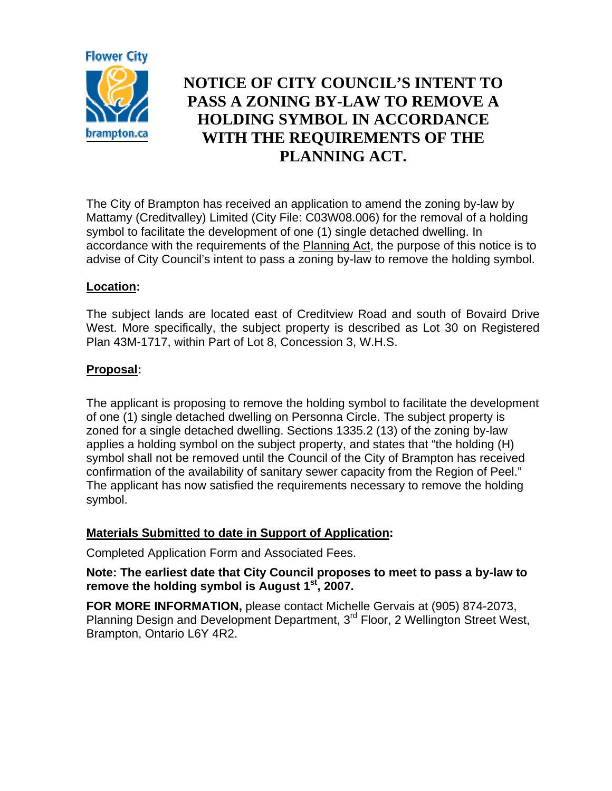

# **NOTICE OF CITY COUNCIL'S INTENT TO PASS A ZONING BY-LAW TO REMOVE A HOLDING SYMBOL IN ACCORDANCE WITH THE REQUIREMENTS OF THE PLANNING ACT.**

The City of Brampton has received an application to amend the zoning by-law by Mattamy (Creditvalley) Limited (City File: C03W08.006) for the removal of a holding symbol to facilitate the development of one (1) single detached dwelling. In accordance with the requirements of the Planning Act, the purpose of this notice is to advise of City Council's intent to pass a zoning by-law to remove the holding symbol.

## **Location:**

The subject lands are located east of Creditview Road and south of Bovaird Drive West. More specifically, the subject property is described as Lot 30 on Registered Plan 43M-1717, within Part of Lot 8, Concession 3, W.H.S.

## **Proposal:**

The applicant is proposing to remove the holding symbol to facilitate the development of one (1) single detached dwelling on Personna Circle. The subject property is zoned for a single detached dwelling. Sections 1335.2 (13) of the zoning by-law applies a holding symbol on the subject property, and states that "the holding (H) symbol shall not be removed until the Council of the City of Brampton has received confirmation of the availability of sanitary sewer capacity from the Region of Peel." The applicant has now satisfied the requirements necessary to remove the holding symbol.

### **Materials Submitted to date in Support of Application:**

Completed Application Form and Associated Fees.

### **Note: The earliest date that City Council proposes to meet to pass a by-law to**  remove the holding symbol is August 1<sup>st</sup>, 2007.

**FOR MORE INFORMATION,** please contact Michelle Gervais at (905) 874-2073, Planning Design and Development Department, 3<sup>rd</sup> Floor, 2 Wellington Street West, Brampton, Ontario L6Y 4R2.